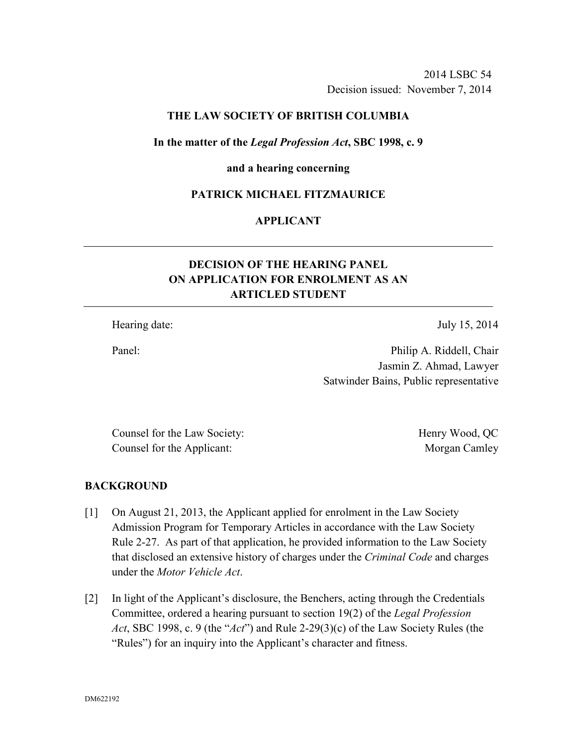2014 LSBC 54 Decision issued: November 7, 2014

# **THE LAW SOCIETY OF BRITISH COLUMBIA**

### **In the matter of the** *Legal Profession Act***, SBC 1998, c. 9**

#### **and a hearing concerning**

## **PATRICK MICHAEL FITZMAURICE**

# **APPLICANT**

# **DECISION OF THE HEARING PANEL ON APPLICATION FOR ENROLMENT AS AN ARTICLED STUDENT**

Hearing date: July 15, 2014

Panel: Philip A. Riddell, Chair Jasmin Z. Ahmad, Lawyer Satwinder Bains, Public representative

Counsel for the Law Society: Henry Wood, QC Counsel for the Applicant: Morgan Camley

#### **BACKGROUND**

- [1] On August 21, 2013, the Applicant applied for enrolment in the Law Society Admission Program for Temporary Articles in accordance with the Law Society Rule 2-27. As part of that application, he provided information to the Law Society that disclosed an extensive history of charges under the *Criminal Code* and charges under the *Motor Vehicle Act*.
- [2] In light of the Applicant's disclosure, the Benchers, acting through the Credentials Committee, ordered a hearing pursuant to section 19(2) of the *Legal Profession Act*, SBC 1998, c. 9 (the "*Act*") and Rule 2-29(3)(c) of the Law Society Rules (the "Rules") for an inquiry into the Applicant's character and fitness.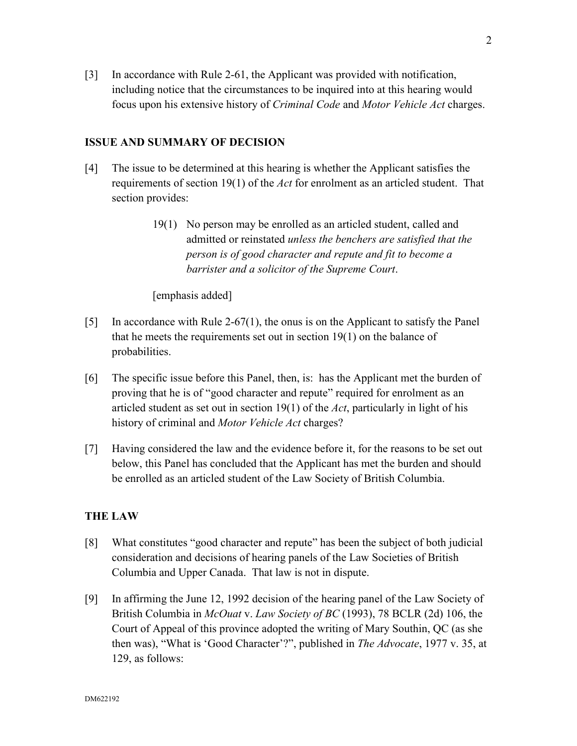[3] In accordance with Rule 2-61, the Applicant was provided with notification, including notice that the circumstances to be inquired into at this hearing would focus upon his extensive history of *Criminal Code* and *Motor Vehicle Act* charges.

# **ISSUE AND SUMMARY OF DECISION**

- [4] The issue to be determined at this hearing is whether the Applicant satisfies the requirements of section 19(1) of the *Act* for enrolment as an articled student. That section provides:
	- 19(1) No person may be enrolled as an articled student, called and admitted or reinstated *unless the benchers are satisfied that the person is of good character and repute and fit to become a barrister and a solicitor of the Supreme Court*.

[emphasis added]

- [5] In accordance with Rule 2-67(1), the onus is on the Applicant to satisfy the Panel that he meets the requirements set out in section 19(1) on the balance of probabilities.
- [6] The specific issue before this Panel, then, is: has the Applicant met the burden of proving that he is of "good character and repute" required for enrolment as an articled student as set out in section 19(1) of the *Act*, particularly in light of his history of criminal and *Motor Vehicle Act* charges?
- [7] Having considered the law and the evidence before it, for the reasons to be set out below, this Panel has concluded that the Applicant has met the burden and should be enrolled as an articled student of the Law Society of British Columbia.

# **THE LAW**

- [8] What constitutes "good character and repute" has been the subject of both judicial consideration and decisions of hearing panels of the Law Societies of British Columbia and Upper Canada. That law is not in dispute.
- [9] In affirming the June 12, 1992 decision of the hearing panel of the Law Society of British Columbia in *McOuat* v. *Law Society of BC* (1993), 78 BCLR (2d) 106, the Court of Appeal of this province adopted the writing of Mary Southin, QC (as she then was), "What is 'Good Character'?", published in *The Advocate*, 1977 v. 35, at 129, as follows: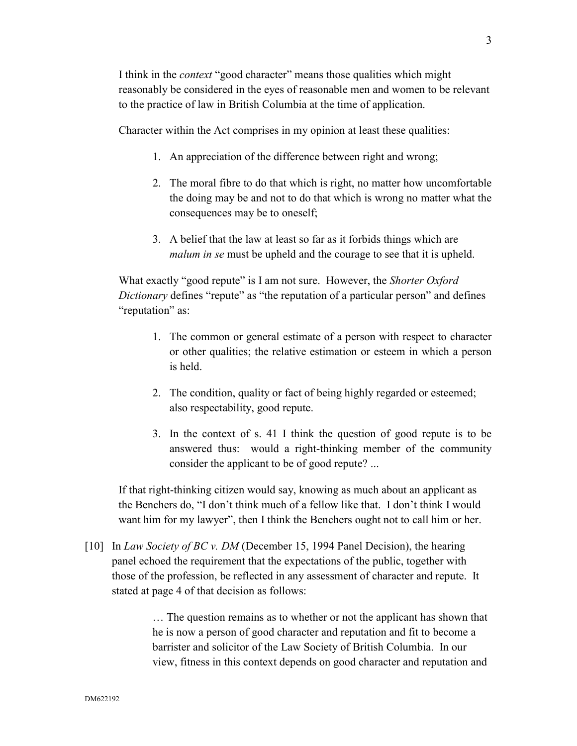I think in the *context* "good character" means those qualities which might reasonably be considered in the eyes of reasonable men and women to be relevant to the practice of law in British Columbia at the time of application.

Character within the Act comprises in my opinion at least these qualities:

- 1. An appreciation of the difference between right and wrong;
- 2. The moral fibre to do that which is right, no matter how uncomfortable the doing may be and not to do that which is wrong no matter what the consequences may be to oneself;
- 3. A belief that the law at least so far as it forbids things which are *malum in se* must be upheld and the courage to see that it is upheld.

What exactly "good repute" is I am not sure. However, the *Shorter Oxford Dictionary* defines "repute" as "the reputation of a particular person" and defines "reputation" as:

- 1. The common or general estimate of a person with respect to character or other qualities; the relative estimation or esteem in which a person is held.
- 2. The condition, quality or fact of being highly regarded or esteemed; also respectability, good repute.
- 3. In the context of s. 41 I think the question of good repute is to be answered thus: would a right-thinking member of the community consider the applicant to be of good repute? ...

If that right-thinking citizen would say, knowing as much about an applicant as the Benchers do, "I don't think much of a fellow like that. I don't think I would want him for my lawyer", then I think the Benchers ought not to call him or her.

[10] In *Law Society of BC v. DM* (December 15, 1994 Panel Decision), the hearing panel echoed the requirement that the expectations of the public, together with those of the profession, be reflected in any assessment of character and repute. It stated at page 4 of that decision as follows:

> … The question remains as to whether or not the applicant has shown that he is now a person of good character and reputation and fit to become a barrister and solicitor of the Law Society of British Columbia. In our view, fitness in this context depends on good character and reputation and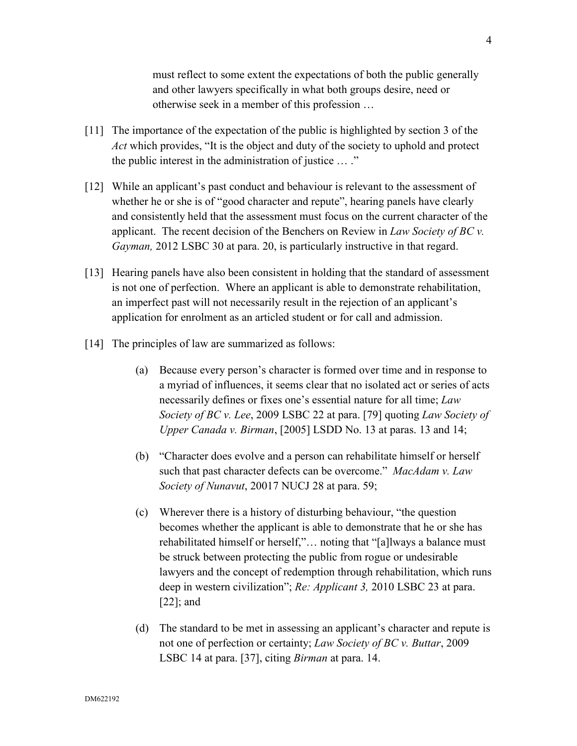must reflect to some extent the expectations of both the public generally and other lawyers specifically in what both groups desire, need or otherwise seek in a member of this profession …

- [11] The importance of the expectation of the public is highlighted by section 3 of the *Act* which provides, "It is the object and duty of the society to uphold and protect the public interest in the administration of justice … ."
- [12] While an applicant's past conduct and behaviour is relevant to the assessment of whether he or she is of "good character and repute", hearing panels have clearly and consistently held that the assessment must focus on the current character of the applicant. The recent decision of the Benchers on Review in *Law Society of BC v. Gayman,* 2012 LSBC 30 at para. 20, is particularly instructive in that regard.
- [13] Hearing panels have also been consistent in holding that the standard of assessment is not one of perfection. Where an applicant is able to demonstrate rehabilitation, an imperfect past will not necessarily result in the rejection of an applicant's application for enrolment as an articled student or for call and admission.
- [14] The principles of law are summarized as follows:
	- (a) Because every person's character is formed over time and in response to a myriad of influences, it seems clear that no isolated act or series of acts necessarily defines or fixes one's essential nature for all time; *Law Society of BC v. Lee*, 2009 LSBC 22 at para. [79] quoting *Law Society of Upper Canada v. Birman*, [2005] LSDD No. 13 at paras. 13 and 14;
	- (b) "Character does evolve and a person can rehabilitate himself or herself such that past character defects can be overcome." *MacAdam v. Law Society of Nunavut*, 20017 NUCJ 28 at para. 59;
	- (c) Wherever there is a history of disturbing behaviour, "the question becomes whether the applicant is able to demonstrate that he or she has rehabilitated himself or herself,"… noting that "[a]lways a balance must be struck between protecting the public from rogue or undesirable lawyers and the concept of redemption through rehabilitation, which runs deep in western civilization"; *Re: Applicant 3,* 2010 LSBC 23 at para. [22]; and
	- (d) The standard to be met in assessing an applicant's character and repute is not one of perfection or certainty; *Law Society of BC v. Buttar*, 2009 LSBC 14 at para. [37], citing *Birman* at para. 14.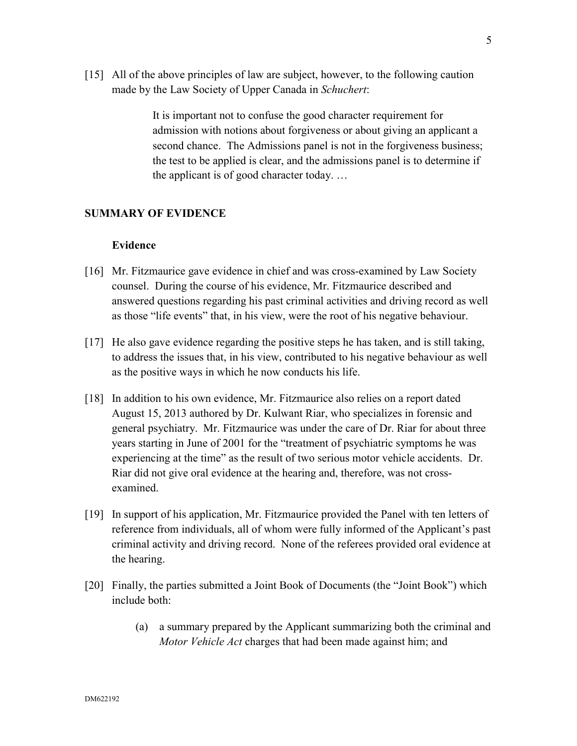[15] All of the above principles of law are subject, however, to the following caution made by the Law Society of Upper Canada in *Schuchert*:

> It is important not to confuse the good character requirement for admission with notions about forgiveness or about giving an applicant a second chance. The Admissions panel is not in the forgiveness business; the test to be applied is clear, and the admissions panel is to determine if the applicant is of good character today. …

# **SUMMARY OF EVIDENCE**

# **Evidence**

- [16] Mr. Fitzmaurice gave evidence in chief and was cross-examined by Law Society counsel. During the course of his evidence, Mr. Fitzmaurice described and answered questions regarding his past criminal activities and driving record as well as those "life events" that, in his view, were the root of his negative behaviour.
- [17] He also gave evidence regarding the positive steps he has taken, and is still taking, to address the issues that, in his view, contributed to his negative behaviour as well as the positive ways in which he now conducts his life.
- [18] In addition to his own evidence, Mr. Fitzmaurice also relies on a report dated August 15, 2013 authored by Dr. Kulwant Riar, who specializes in forensic and general psychiatry. Mr. Fitzmaurice was under the care of Dr. Riar for about three years starting in June of 2001 for the "treatment of psychiatric symptoms he was experiencing at the time" as the result of two serious motor vehicle accidents. Dr. Riar did not give oral evidence at the hearing and, therefore, was not crossexamined.
- [19] In support of his application, Mr. Fitzmaurice provided the Panel with ten letters of reference from individuals, all of whom were fully informed of the Applicant's past criminal activity and driving record. None of the referees provided oral evidence at the hearing.
- [20] Finally, the parties submitted a Joint Book of Documents (the "Joint Book") which include both:
	- (a) a summary prepared by the Applicant summarizing both the criminal and *Motor Vehicle Act* charges that had been made against him; and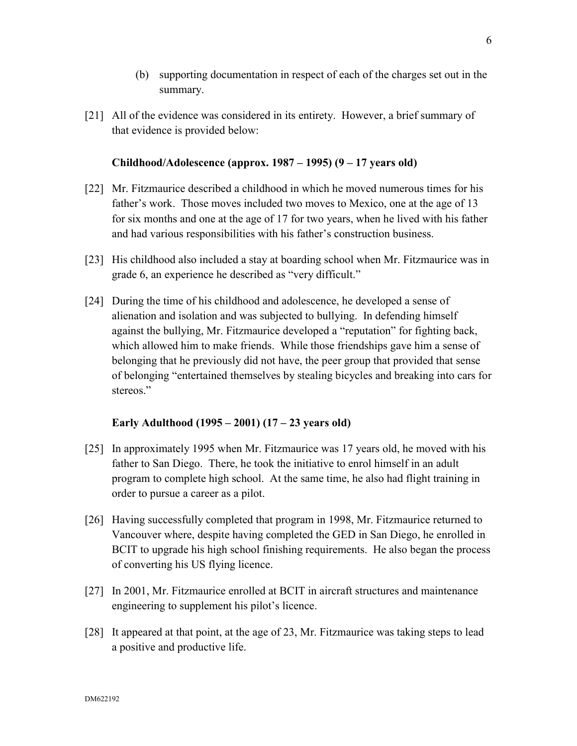- (b) supporting documentation in respect of each of the charges set out in the summary.
- [21] All of the evidence was considered in its entirety. However, a brief summary of that evidence is provided below:

# **Childhood/Adolescence (approx. 1987 – 1995) (9 – 17 years old)**

- [22] Mr. Fitzmaurice described a childhood in which he moved numerous times for his father's work. Those moves included two moves to Mexico, one at the age of 13 for six months and one at the age of 17 for two years, when he lived with his father and had various responsibilities with his father's construction business.
- [23] His childhood also included a stay at boarding school when Mr. Fitzmaurice was in grade 6, an experience he described as "very difficult."
- [24] During the time of his childhood and adolescence, he developed a sense of alienation and isolation and was subjected to bullying. In defending himself against the bullying, Mr. Fitzmaurice developed a "reputation" for fighting back, which allowed him to make friends. While those friendships gave him a sense of belonging that he previously did not have, the peer group that provided that sense of belonging "entertained themselves by stealing bicycles and breaking into cars for stereos<sup>"</sup>

# **Early Adulthood (1995 – 2001) (17 – 23 years old)**

- [25] In approximately 1995 when Mr. Fitzmaurice was 17 years old, he moved with his father to San Diego. There, he took the initiative to enrol himself in an adult program to complete high school. At the same time, he also had flight training in order to pursue a career as a pilot.
- [26] Having successfully completed that program in 1998, Mr. Fitzmaurice returned to Vancouver where, despite having completed the GED in San Diego, he enrolled in BCIT to upgrade his high school finishing requirements. He also began the process of converting his US flying licence.
- [27] In 2001, Mr. Fitzmaurice enrolled at BCIT in aircraft structures and maintenance engineering to supplement his pilot's licence.
- [28] It appeared at that point, at the age of 23, Mr. Fitzmaurice was taking steps to lead a positive and productive life.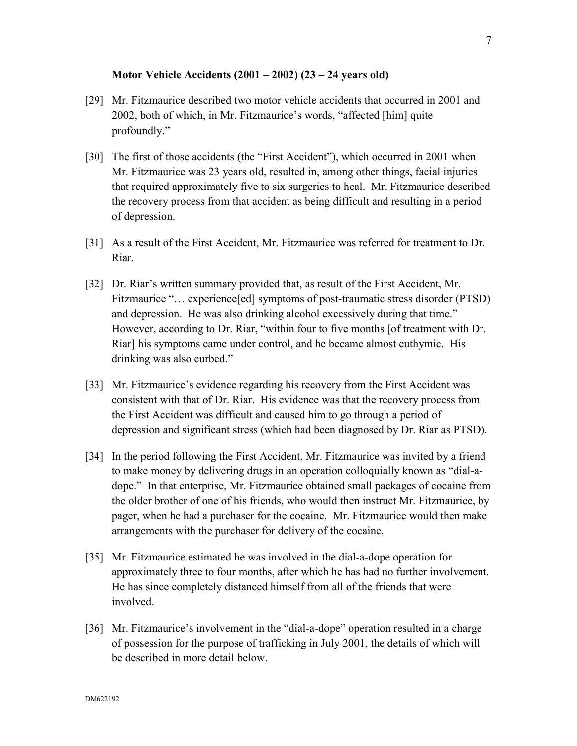# **Motor Vehicle Accidents (2001 – 2002) (23 – 24 years old)**

- [29] Mr. Fitzmaurice described two motor vehicle accidents that occurred in 2001 and 2002, both of which, in Mr. Fitzmaurice's words, "affected [him] quite profoundly."
- [30] The first of those accidents (the "First Accident"), which occurred in 2001 when Mr. Fitzmaurice was 23 years old, resulted in, among other things, facial injuries that required approximately five to six surgeries to heal. Mr. Fitzmaurice described the recovery process from that accident as being difficult and resulting in a period of depression.
- [31] As a result of the First Accident, Mr. Fitzmaurice was referred for treatment to Dr. Riar.
- [32] Dr. Riar's written summary provided that, as result of the First Accident, Mr. Fitzmaurice "... experience [ed] symptoms of post-traumatic stress disorder (PTSD) and depression. He was also drinking alcohol excessively during that time." However, according to Dr. Riar, "within four to five months [of treatment with Dr. Riar] his symptoms came under control, and he became almost euthymic. His drinking was also curbed."
- [33] Mr. Fitzmaurice's evidence regarding his recovery from the First Accident was consistent with that of Dr. Riar. His evidence was that the recovery process from the First Accident was difficult and caused him to go through a period of depression and significant stress (which had been diagnosed by Dr. Riar as PTSD).
- [34] In the period following the First Accident, Mr. Fitzmaurice was invited by a friend to make money by delivering drugs in an operation colloquially known as "dial-adope." In that enterprise, Mr. Fitzmaurice obtained small packages of cocaine from the older brother of one of his friends, who would then instruct Mr. Fitzmaurice, by pager, when he had a purchaser for the cocaine. Mr. Fitzmaurice would then make arrangements with the purchaser for delivery of the cocaine.
- [35] Mr. Fitzmaurice estimated he was involved in the dial-a-dope operation for approximately three to four months, after which he has had no further involvement. He has since completely distanced himself from all of the friends that were involved.
- [36] Mr. Fitzmaurice's involvement in the "dial-a-dope" operation resulted in a charge of possession for the purpose of trafficking in July 2001, the details of which will be described in more detail below.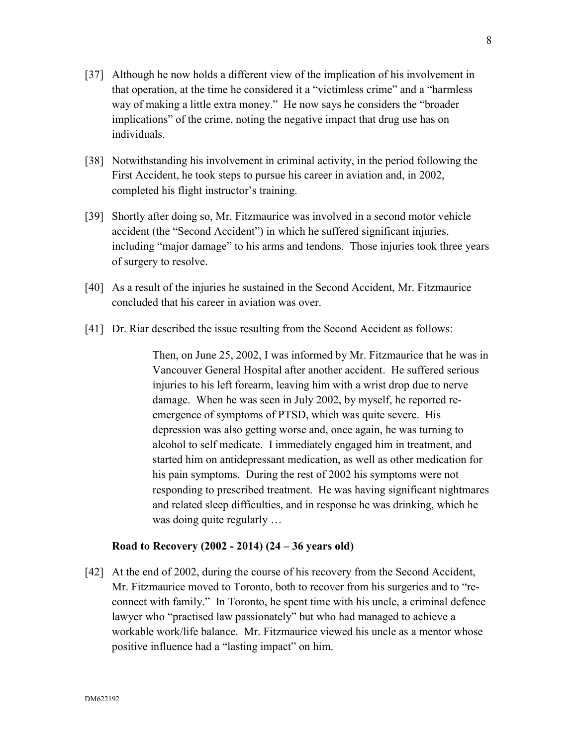- [37] Although he now holds a different view of the implication of his involvement in that operation, at the time he considered it a "victimless crime" and a "harmless way of making a little extra money." He now says he considers the "broader implications" of the crime, noting the negative impact that drug use has on individuals.
- [38] Notwithstanding his involvement in criminal activity, in the period following the First Accident, he took steps to pursue his career in aviation and, in 2002, completed his flight instructor's training.
- [39] Shortly after doing so, Mr. Fitzmaurice was involved in a second motor vehicle accident (the "Second Accident") in which he suffered significant injuries, including "major damage" to his arms and tendons. Those injuries took three years of surgery to resolve.
- [40] As a result of the injuries he sustained in the Second Accident, Mr. Fitzmaurice concluded that his career in aviation was over.
- [41] Dr. Riar described the issue resulting from the Second Accident as follows:

Then, on June 25, 2002, I was informed by Mr. Fitzmaurice that he was in Vancouver General Hospital after another accident. He suffered serious injuries to his left forearm, leaving him with a wrist drop due to nerve damage. When he was seen in July 2002, by myself, he reported reemergence of symptoms of PTSD, which was quite severe. His depression was also getting worse and, once again, he was turning to alcohol to self medicate. I immediately engaged him in treatment, and started him on antidepressant medication, as well as other medication for his pain symptoms. During the rest of 2002 his symptoms were not responding to prescribed treatment. He was having significant nightmares and related sleep difficulties, and in response he was drinking, which he was doing quite regularly …

# **Road to Recovery (2002 - 2014) (24 – 36 years old)**

[42] At the end of 2002, during the course of his recovery from the Second Accident, Mr. Fitzmaurice moved to Toronto, both to recover from his surgeries and to "reconnect with family." In Toronto, he spent time with his uncle, a criminal defence lawyer who "practised law passionately" but who had managed to achieve a workable work/life balance. Mr. Fitzmaurice viewed his uncle as a mentor whose positive influence had a "lasting impact" on him.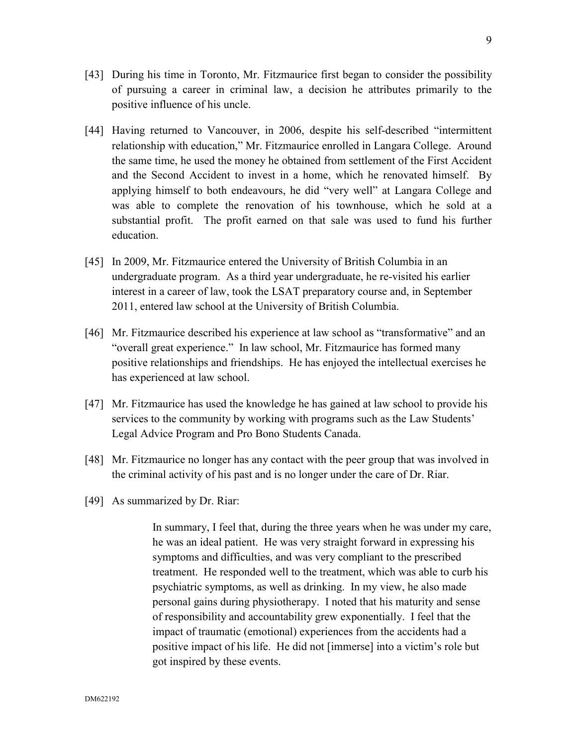- [43] During his time in Toronto, Mr. Fitzmaurice first began to consider the possibility of pursuing a career in criminal law, a decision he attributes primarily to the positive influence of his uncle.
- [44] Having returned to Vancouver, in 2006, despite his self-described "intermittent relationship with education," Mr. Fitzmaurice enrolled in Langara College. Around the same time, he used the money he obtained from settlement of the First Accident and the Second Accident to invest in a home, which he renovated himself. By applying himself to both endeavours, he did "very well" at Langara College and was able to complete the renovation of his townhouse, which he sold at a substantial profit. The profit earned on that sale was used to fund his further education.
- [45] In 2009, Mr. Fitzmaurice entered the University of British Columbia in an undergraduate program. As a third year undergraduate, he re-visited his earlier interest in a career of law, took the LSAT preparatory course and, in September 2011, entered law school at the University of British Columbia.
- [46] Mr. Fitzmaurice described his experience at law school as "transformative" and an "overall great experience." In law school, Mr. Fitzmaurice has formed many positive relationships and friendships. He has enjoyed the intellectual exercises he has experienced at law school.
- [47] Mr. Fitzmaurice has used the knowledge he has gained at law school to provide his services to the community by working with programs such as the Law Students' Legal Advice Program and Pro Bono Students Canada.
- [48] Mr. Fitzmaurice no longer has any contact with the peer group that was involved in the criminal activity of his past and is no longer under the care of Dr. Riar.
- [49] As summarized by Dr. Riar:

In summary, I feel that, during the three years when he was under my care, he was an ideal patient. He was very straight forward in expressing his symptoms and difficulties, and was very compliant to the prescribed treatment. He responded well to the treatment, which was able to curb his psychiatric symptoms, as well as drinking. In my view, he also made personal gains during physiotherapy. I noted that his maturity and sense of responsibility and accountability grew exponentially. I feel that the impact of traumatic (emotional) experiences from the accidents had a positive impact of his life. He did not [immerse] into a victim's role but got inspired by these events.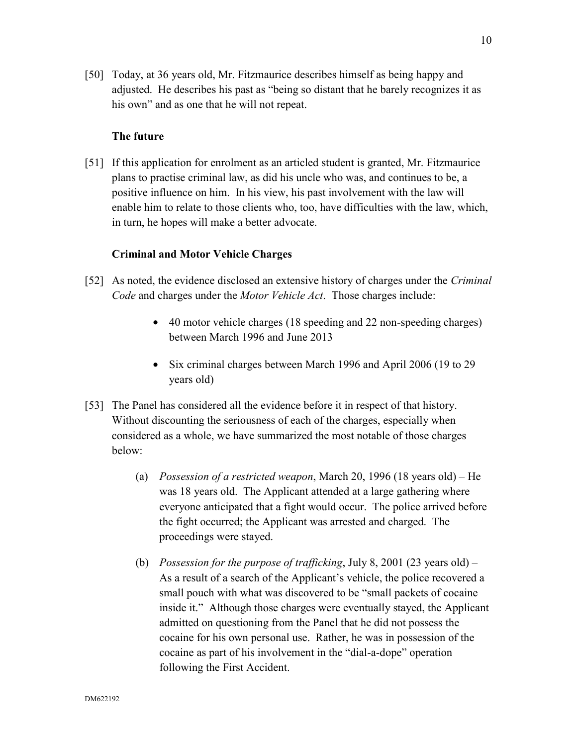[50] Today, at 36 years old, Mr. Fitzmaurice describes himself as being happy and adjusted. He describes his past as "being so distant that he barely recognizes it as his own" and as one that he will not repeat.

### **The future**

[51] If this application for enrolment as an articled student is granted, Mr. Fitzmaurice plans to practise criminal law, as did his uncle who was, and continues to be, a positive influence on him. In his view, his past involvement with the law will enable him to relate to those clients who, too, have difficulties with the law, which, in turn, he hopes will make a better advocate.

### **Criminal and Motor Vehicle Charges**

- [52] As noted, the evidence disclosed an extensive history of charges under the *Criminal Code* and charges under the *Motor Vehicle Act*. Those charges include:
	- 40 motor vehicle charges (18 speeding and 22 non-speeding charges) between March 1996 and June 2013
	- Six criminal charges between March 1996 and April 2006 (19 to 29) years old)
- [53] The Panel has considered all the evidence before it in respect of that history. Without discounting the seriousness of each of the charges, especially when considered as a whole, we have summarized the most notable of those charges below:
	- (a) *Possession of a restricted weapon*, March 20, 1996 (18 years old) He was 18 years old. The Applicant attended at a large gathering where everyone anticipated that a fight would occur. The police arrived before the fight occurred; the Applicant was arrested and charged. The proceedings were stayed.
	- (b) *Possession for the purpose of trafficking*, July 8, 2001 (23 years old) As a result of a search of the Applicant's vehicle, the police recovered a small pouch with what was discovered to be "small packets of cocaine inside it." Although those charges were eventually stayed, the Applicant admitted on questioning from the Panel that he did not possess the cocaine for his own personal use. Rather, he was in possession of the cocaine as part of his involvement in the "dial-a-dope" operation following the First Accident.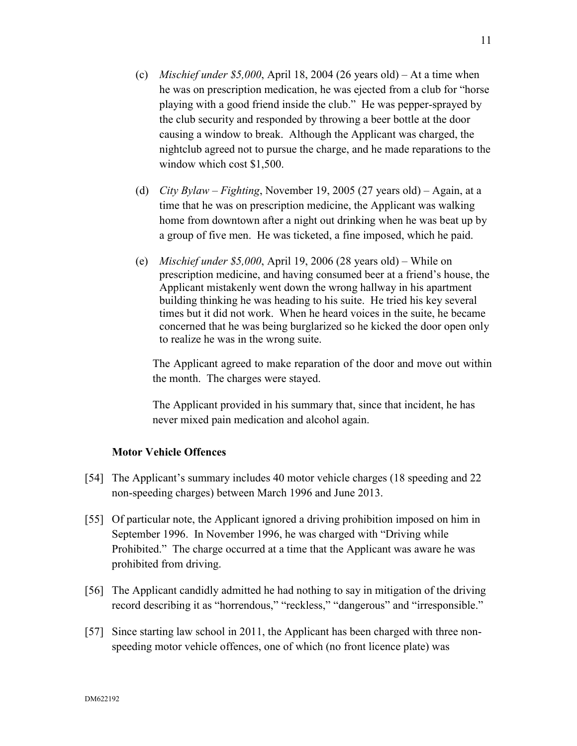- (c) *Mischief under \$5,000*, April 18, 2004 (26 years old) At a time when he was on prescription medication, he was ejected from a club for "horse playing with a good friend inside the club." He was pepper-sprayed by the club security and responded by throwing a beer bottle at the door causing a window to break. Although the Applicant was charged, the nightclub agreed not to pursue the charge, and he made reparations to the window which cost \$1,500.
- (d) *City Bylaw Fighting*, November 19, 2005 (27 years old) Again, at a time that he was on prescription medicine, the Applicant was walking home from downtown after a night out drinking when he was beat up by a group of five men. He was ticketed, a fine imposed, which he paid.
- (e) *Mischief under \$5,000*, April 19, 2006 (28 years old) While on prescription medicine, and having consumed beer at a friend's house, the Applicant mistakenly went down the wrong hallway in his apartment building thinking he was heading to his suite. He tried his key several times but it did not work. When he heard voices in the suite, he became concerned that he was being burglarized so he kicked the door open only to realize he was in the wrong suite.

The Applicant agreed to make reparation of the door and move out within the month. The charges were stayed.

The Applicant provided in his summary that, since that incident, he has never mixed pain medication and alcohol again.

# **Motor Vehicle Offences**

- [54] The Applicant's summary includes 40 motor vehicle charges (18 speeding and 22 non-speeding charges) between March 1996 and June 2013.
- [55] Of particular note, the Applicant ignored a driving prohibition imposed on him in September 1996. In November 1996, he was charged with "Driving while Prohibited." The charge occurred at a time that the Applicant was aware he was prohibited from driving.
- [56] The Applicant candidly admitted he had nothing to say in mitigation of the driving record describing it as "horrendous," "reckless," "dangerous" and "irresponsible."
- [57] Since starting law school in 2011, the Applicant has been charged with three nonspeeding motor vehicle offences, one of which (no front licence plate) was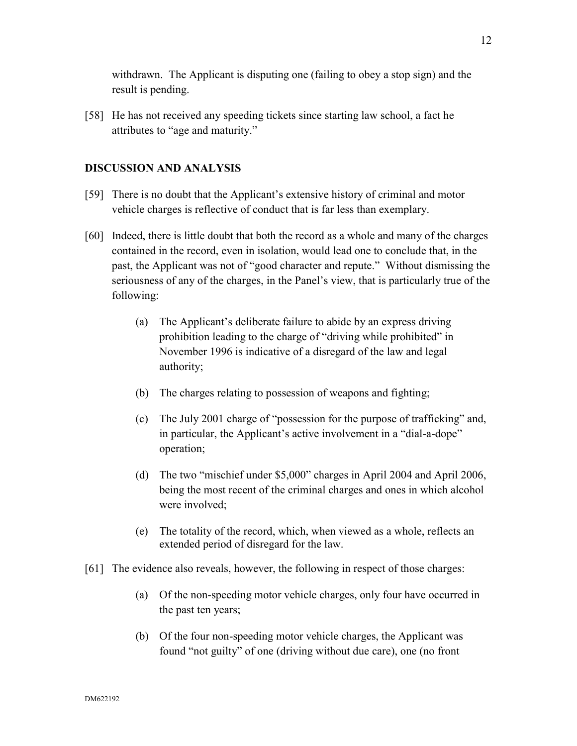withdrawn. The Applicant is disputing one (failing to obey a stop sign) and the result is pending.

[58] He has not received any speeding tickets since starting law school, a fact he attributes to "age and maturity."

# **DISCUSSION AND ANALYSIS**

- [59] There is no doubt that the Applicant's extensive history of criminal and motor vehicle charges is reflective of conduct that is far less than exemplary.
- [60] Indeed, there is little doubt that both the record as a whole and many of the charges contained in the record, even in isolation, would lead one to conclude that, in the past, the Applicant was not of "good character and repute." Without dismissing the seriousness of any of the charges, in the Panel's view, that is particularly true of the following:
	- (a) The Applicant's deliberate failure to abide by an express driving prohibition leading to the charge of "driving while prohibited" in November 1996 is indicative of a disregard of the law and legal authority;
	- (b) The charges relating to possession of weapons and fighting;
	- (c) The July 2001 charge of "possession for the purpose of trafficking" and, in particular, the Applicant's active involvement in a "dial-a-dope" operation;
	- (d) The two "mischief under \$5,000" charges in April 2004 and April 2006, being the most recent of the criminal charges and ones in which alcohol were involved;
	- (e) The totality of the record, which, when viewed as a whole, reflects an extended period of disregard for the law.
- [61] The evidence also reveals, however, the following in respect of those charges:
	- (a) Of the non-speeding motor vehicle charges, only four have occurred in the past ten years;
	- (b) Of the four non-speeding motor vehicle charges, the Applicant was found "not guilty" of one (driving without due care), one (no front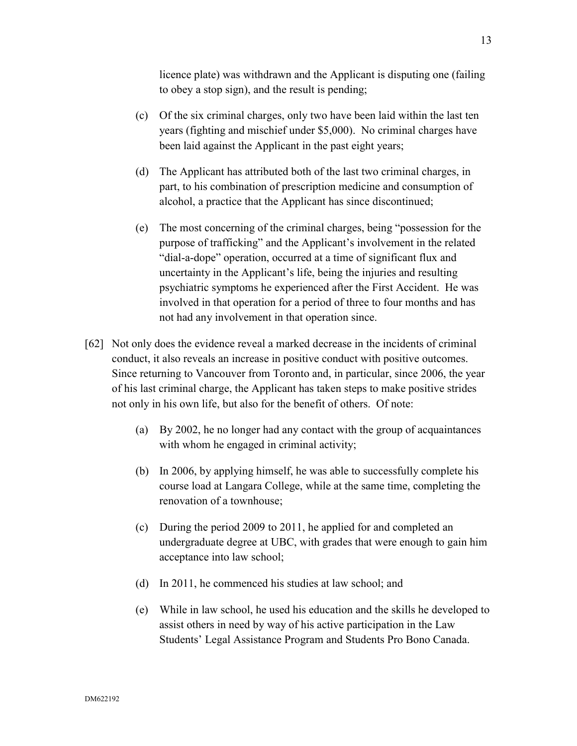licence plate) was withdrawn and the Applicant is disputing one (failing to obey a stop sign), and the result is pending;

- (c) Of the six criminal charges, only two have been laid within the last ten years (fighting and mischief under \$5,000). No criminal charges have been laid against the Applicant in the past eight years;
- (d) The Applicant has attributed both of the last two criminal charges, in part, to his combination of prescription medicine and consumption of alcohol, a practice that the Applicant has since discontinued;
- (e) The most concerning of the criminal charges, being "possession for the purpose of trafficking" and the Applicant's involvement in the related "dial-a-dope" operation, occurred at a time of significant flux and uncertainty in the Applicant's life, being the injuries and resulting psychiatric symptoms he experienced after the First Accident. He was involved in that operation for a period of three to four months and has not had any involvement in that operation since.
- [62] Not only does the evidence reveal a marked decrease in the incidents of criminal conduct, it also reveals an increase in positive conduct with positive outcomes. Since returning to Vancouver from Toronto and, in particular, since 2006, the year of his last criminal charge, the Applicant has taken steps to make positive strides not only in his own life, but also for the benefit of others. Of note:
	- (a) By 2002, he no longer had any contact with the group of acquaintances with whom he engaged in criminal activity;
	- (b) In 2006, by applying himself, he was able to successfully complete his course load at Langara College, while at the same time, completing the renovation of a townhouse;
	- (c) During the period 2009 to 2011, he applied for and completed an undergraduate degree at UBC, with grades that were enough to gain him acceptance into law school;
	- (d) In 2011, he commenced his studies at law school; and
	- (e) While in law school, he used his education and the skills he developed to assist others in need by way of his active participation in the Law Students' Legal Assistance Program and Students Pro Bono Canada.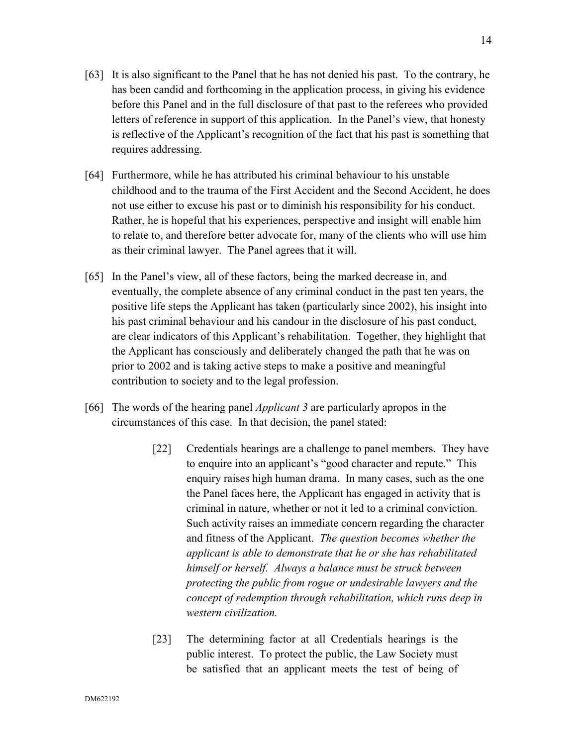- [63] It is also significant to the Panel that he has not denied his past. To the contrary, he has been candid and forthcoming in the application process, in giving his evidence before this Panel and in the full disclosure of that past to the referees who provided letters of reference in support of this application. In the Panel's view, that honesty is reflective of the Applicant's recognition of the fact that his past is something that requires addressing.
- [64] Furthermore, while he has attributed his criminal behaviour to his unstable childhood and to the trauma of the First Accident and the Second Accident, he does not use either to excuse his past or to diminish his responsibility for his conduct. Rather, he is hopeful that his experiences, perspective and insight will enable him to relate to, and therefore better advocate for, many of the clients who will use him as their criminal lawyer. The Panel agrees that it will.
- [65] In the Panel's view, all of these factors, being the marked decrease in, and eventually, the complete absence of any criminal conduct in the past ten years, the positive life steps the Applicant has taken (particularly since 2002), his insight into his past criminal behaviour and his candour in the disclosure of his past conduct, are clear indicators of this Applicant's rehabilitation. Together, they highlight that the Applicant has consciously and deliberately changed the path that he was on prior to 2002 and is taking active steps to make a positive and meaningful contribution to society and to the legal profession.
- [66] The words of the hearing panel *Applicant 3* are particularly apropos in the circumstances of this case. In that decision, the panel stated:
	- [22] Credentials hearings are a challenge to panel members. They have to enquire into an applicant's "good character and repute." This enquiry raises high human drama. In many cases, such as the one the Panel faces here, the Applicant has engaged in activity that is criminal in nature, whether or not it led to a criminal conviction. Such activity raises an immediate concern regarding the character and fitness of the Applicant. *The question becomes whether the applicant is able to demonstrate that he or she has rehabilitated himself or herself. Always a balance must be struck between protecting the public from rogue or undesirable lawyers and the concept of redemption through rehabilitation, which runs deep in western civilization.*
	- [23] The determining factor at all Credentials hearings is the public interest. To protect the public, the Law Society must be satisfied that an applicant meets the test of being of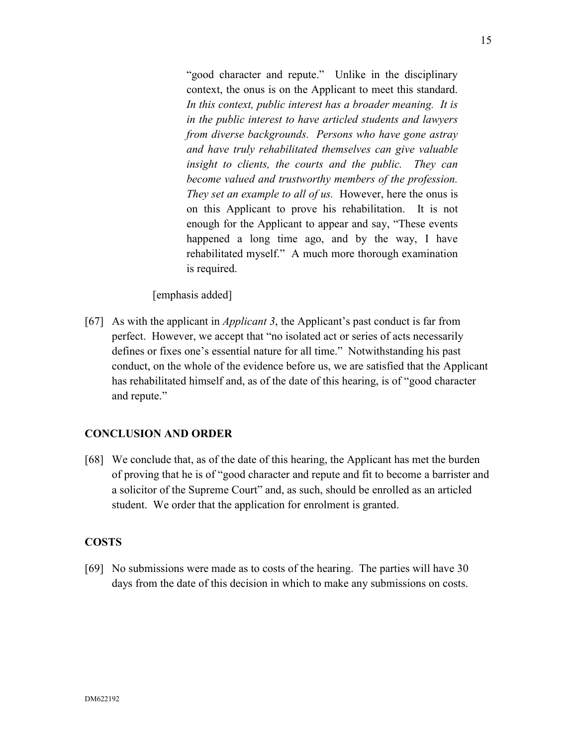"good character and repute." Unlike in the disciplinary context, the onus is on the Applicant to meet this standard. *In this context, public interest has a broader meaning. It is in the public interest to have articled students and lawyers from diverse backgrounds. Persons who have gone astray and have truly rehabilitated themselves can give valuable insight to clients, the courts and the public. They can become valued and trustworthy members of the profession. They set an example to all of us.* However, here the onus is on this Applicant to prove his rehabilitation. It is not enough for the Applicant to appear and say, "These events happened a long time ago, and by the way, I have rehabilitated myself." A much more thorough examination is required.

[emphasis added]

[67] As with the applicant in *Applicant 3*, the Applicant's past conduct is far from perfect. However, we accept that "no isolated act or series of acts necessarily defines or fixes one's essential nature for all time." Notwithstanding his past conduct, on the whole of the evidence before us, we are satisfied that the Applicant has rehabilitated himself and, as of the date of this hearing, is of "good character and repute."

### **CONCLUSION AND ORDER**

[68] We conclude that, as of the date of this hearing, the Applicant has met the burden of proving that he is of "good character and repute and fit to become a barrister and a solicitor of the Supreme Court" and, as such, should be enrolled as an articled student. We order that the application for enrolment is granted.

### **COSTS**

[69] No submissions were made as to costs of the hearing. The parties will have 30 days from the date of this decision in which to make any submissions on costs.